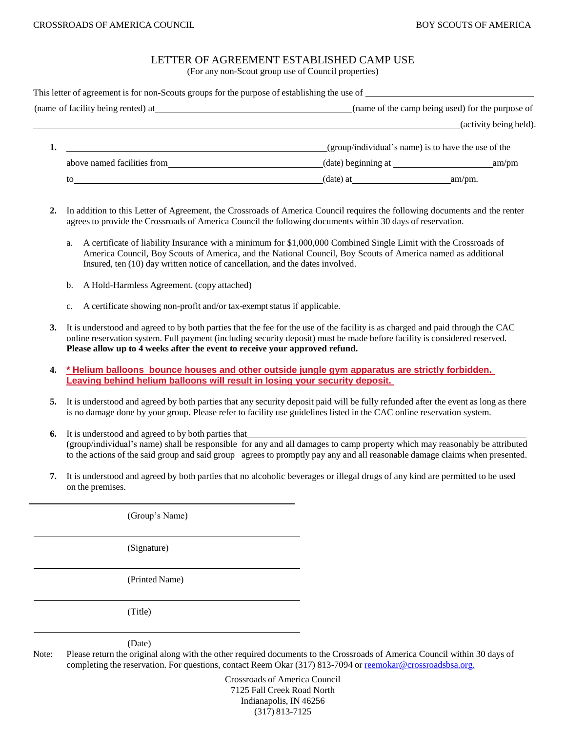## LETTER OF AGREEMENT ESTABLISHED CAMP USE

(For any non-Scout group use of Council properties)

| This letter of agreement is for non-Scouts groups for the purpose of establishing the use of |                                                     |                        |
|----------------------------------------------------------------------------------------------|-----------------------------------------------------|------------------------|
|                                                                                              | (name of the camp being used) for the purpose of    |                        |
|                                                                                              |                                                     | (activity being held). |
|                                                                                              | (group/individual's name) is to have the use of the |                        |
| above named facilities from                                                                  | $(date)$ beginning at $\qquad \qquad$               | am/m                   |
| to                                                                                           | $(\text{date})$ at                                  | am/pm.                 |

- **2.** In addition to this Letter of Agreement, the Crossroads of America Council requires the following documents and the renter agrees to provide the Crossroads of America Council the following documents within 30 days of reservation.
	- a. A certificate of liability Insurance with a minimum for \$1,000,000 Combined Single Limit with the Crossroads of America Council, Boy Scouts of America, and the National Council, Boy Scouts of America named as additional Insured, ten (10) day written notice of cancellation, and the dates involved.
	- b. A Hold-Harmless Agreement. (copy attached)
	- c. A certificate showing non-profit and/or tax-exempt status if applicable.
- **3.** It is understood and agreed to by both parties that the fee for the use of the facility is as charged and paid through the CAC online reservation system. Full payment (including security deposit) must be made before facility is considered reserved. **Please allow up to 4 weeks after the event to receive your approved refund.**
- **4. \* Helium balloons bounce houses and other outside jungle gym apparatus are strictly forbidden. Leaving behind helium balloons will result in losing your security deposit.**
- **5.** It is understood and agreed by both parties that any security deposit paid will be fully refunded after the event as long as there is no damage done by your group. Please refer to facility use guidelines listed in the CAC online reservation system.
- **6.** It is understood and agreed to by both parties that (group/individual's name) shall be responsible for any and all damages to camp property which may reasonably be attributed to the actions of the said group and said group agrees to promptly pay any and all reasonable damage claims when presented.
- **7.** It is understood and agreed by both parties that no alcoholic beverages or illegal drugs of any kind are permitted to be used on the premises.

(Group's Name) (Signature) (Printed Name) (Title) (Date)

Note: Please return the original along with the other required documents to the Crossroads of America Council within 30 days of completing the reservation. For questions, contact Reem Okar (317) 813-7094 or [reemokar@crossroadsbsa.org.](mailto:reemokar@crossroadsbsa.org.)

> Crossroads of America Council 7125 Fall Creek Road North Indianapolis, IN 46256 (317) 813-7125